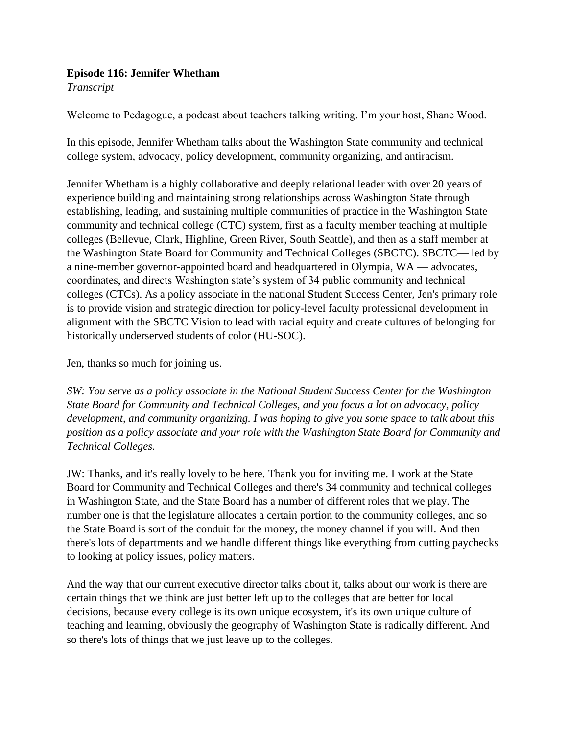## **Episode 116: Jennifer Whetham**

*Transcript* 

Welcome to Pedagogue, a podcast about teachers talking writing. I'm your host, Shane Wood.

In this episode, Jennifer Whetham talks about the Washington State community and technical college system, advocacy, policy development, community organizing, and antiracism.

Jennifer Whetham is a highly collaborative and deeply relational leader with over 20 years of experience building and maintaining strong relationships across Washington State through establishing, leading, and sustaining multiple communities of practice in the Washington State community and technical college (CTC) system, first as a faculty member teaching at multiple colleges (Bellevue, Clark, Highline, Green River, South Seattle), and then as a staff member at the Washington State Board for Community and Technical Colleges (SBCTC). SBCTC— led by a nine-member governor-appointed board and headquartered in Olympia, WA — advocates, coordinates, and directs Washington state's system of 34 public community and technical colleges (CTCs). As a policy associate in the national Student Success Center, Jen's primary role is to provide vision and strategic direction for policy-level faculty professional development in alignment with the SBCTC Vision to lead with racial equity and create cultures of belonging for historically underserved students of color (HU-SOC).

Jen, thanks so much for joining us.

*SW: You serve as a policy associate in the National Student Success Center for the Washington State Board for Community and Technical Colleges, and you focus a lot on advocacy, policy development, and community organizing. I was hoping to give you some space to talk about this position as a policy associate and your role with the Washington State Board for Community and Technical Colleges.*

JW: Thanks, and it's really lovely to be here. Thank you for inviting me. I work at the State Board for Community and Technical Colleges and there's 34 community and technical colleges in Washington State, and the State Board has a number of different roles that we play. The number one is that the legislature allocates a certain portion to the community colleges, and so the State Board is sort of the conduit for the money, the money channel if you will. And then there's lots of departments and we handle different things like everything from cutting paychecks to looking at policy issues, policy matters.

And the way that our current executive director talks about it, talks about our work is there are certain things that we think are just better left up to the colleges that are better for local decisions, because every college is its own unique ecosystem, it's its own unique culture of teaching and learning, obviously the geography of Washington State is radically different. And so there's lots of things that we just leave up to the colleges.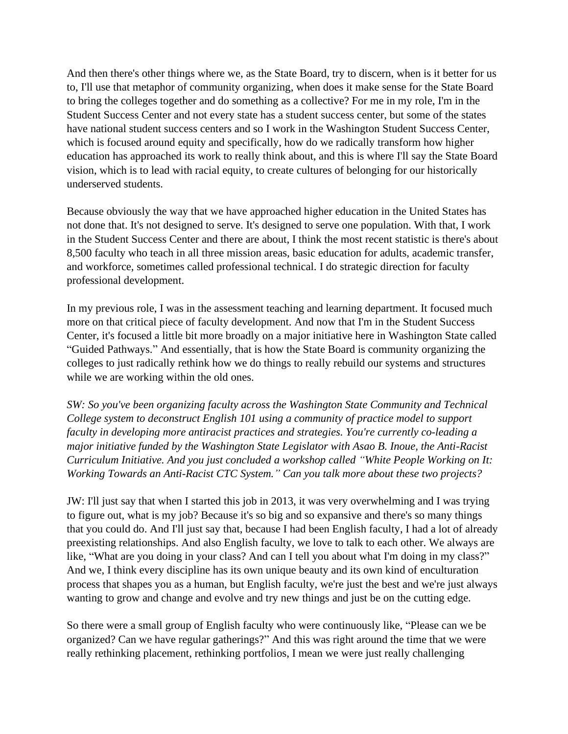And then there's other things where we, as the State Board, try to discern, when is it better for us to, I'll use that metaphor of community organizing, when does it make sense for the State Board to bring the colleges together and do something as a collective? For me in my role, I'm in the Student Success Center and not every state has a student success center, but some of the states have national student success centers and so I work in the Washington Student Success Center, which is focused around equity and specifically, how do we radically transform how higher education has approached its work to really think about, and this is where I'll say the State Board vision, which is to lead with racial equity, to create cultures of belonging for our historically underserved students.

Because obviously the way that we have approached higher education in the United States has not done that. It's not designed to serve. It's designed to serve one population. With that, I work in the Student Success Center and there are about, I think the most recent statistic is there's about 8,500 faculty who teach in all three mission areas, basic education for adults, academic transfer, and workforce, sometimes called professional technical. I do strategic direction for faculty professional development.

In my previous role, I was in the assessment teaching and learning department. It focused much more on that critical piece of faculty development. And now that I'm in the Student Success Center, it's focused a little bit more broadly on a major initiative here in Washington State called "Guided Pathways." And essentially, that is how the State Board is community organizing the colleges to just radically rethink how we do things to really rebuild our systems and structures while we are working within the old ones.

*SW: So you've been organizing faculty across the Washington State Community and Technical College system to deconstruct English 101 using a community of practice model to support faculty in developing more antiracist practices and strategies. You're currently co-leading a major initiative funded by the Washington State Legislator with Asao B. Inoue, the Anti-Racist Curriculum Initiative. And you just concluded a workshop called "White People Working on It: Working Towards an Anti-Racist CTC System." Can you talk more about these two projects?*

JW: I'll just say that when I started this job in 2013, it was very overwhelming and I was trying to figure out, what is my job? Because it's so big and so expansive and there's so many things that you could do. And I'll just say that, because I had been English faculty, I had a lot of already preexisting relationships. And also English faculty, we love to talk to each other. We always are like, "What are you doing in your class? And can I tell you about what I'm doing in my class?" And we, I think every discipline has its own unique beauty and its own kind of enculturation process that shapes you as a human, but English faculty, we're just the best and we're just always wanting to grow and change and evolve and try new things and just be on the cutting edge.

So there were a small group of English faculty who were continuously like, "Please can we be organized? Can we have regular gatherings?" And this was right around the time that we were really rethinking placement, rethinking portfolios, I mean we were just really challenging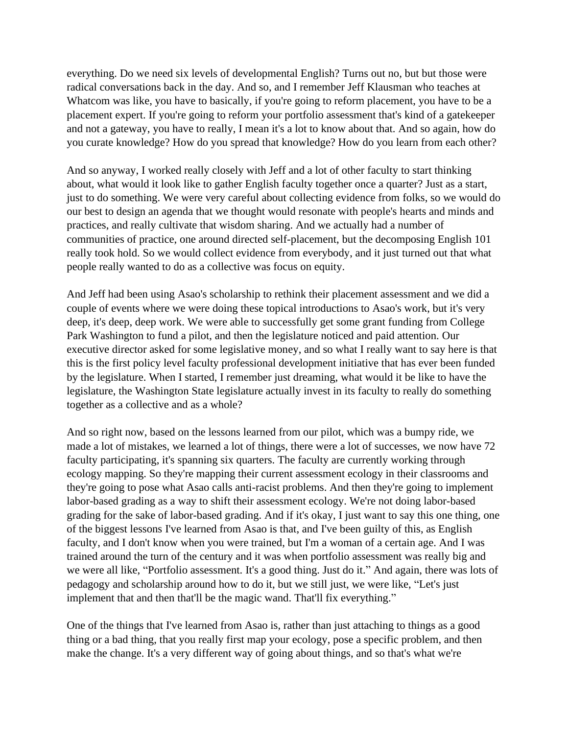everything. Do we need six levels of developmental English? Turns out no, but but those were radical conversations back in the day. And so, and I remember Jeff Klausman who teaches at Whatcom was like, you have to basically, if you're going to reform placement, you have to be a placement expert. If you're going to reform your portfolio assessment that's kind of a gatekeeper and not a gateway, you have to really, I mean it's a lot to know about that. And so again, how do you curate knowledge? How do you spread that knowledge? How do you learn from each other?

And so anyway, I worked really closely with Jeff and a lot of other faculty to start thinking about, what would it look like to gather English faculty together once a quarter? Just as a start, just to do something. We were very careful about collecting evidence from folks, so we would do our best to design an agenda that we thought would resonate with people's hearts and minds and practices, and really cultivate that wisdom sharing. And we actually had a number of communities of practice, one around directed self-placement, but the decomposing English 101 really took hold. So we would collect evidence from everybody, and it just turned out that what people really wanted to do as a collective was focus on equity.

And Jeff had been using Asao's scholarship to rethink their placement assessment and we did a couple of events where we were doing these topical introductions to Asao's work, but it's very deep, it's deep, deep work. We were able to successfully get some grant funding from College Park Washington to fund a pilot, and then the legislature noticed and paid attention. Our executive director asked for some legislative money, and so what I really want to say here is that this is the first policy level faculty professional development initiative that has ever been funded by the legislature. When I started, I remember just dreaming, what would it be like to have the legislature, the Washington State legislature actually invest in its faculty to really do something together as a collective and as a whole?

And so right now, based on the lessons learned from our pilot, which was a bumpy ride, we made a lot of mistakes, we learned a lot of things, there were a lot of successes, we now have 72 faculty participating, it's spanning six quarters. The faculty are currently working through ecology mapping. So they're mapping their current assessment ecology in their classrooms and they're going to pose what Asao calls anti-racist problems. And then they're going to implement labor-based grading as a way to shift their assessment ecology. We're not doing labor-based grading for the sake of labor-based grading. And if it's okay, I just want to say this one thing, one of the biggest lessons I've learned from Asao is that, and I've been guilty of this, as English faculty, and I don't know when you were trained, but I'm a woman of a certain age. And I was trained around the turn of the century and it was when portfolio assessment was really big and we were all like, "Portfolio assessment. It's a good thing. Just do it." And again, there was lots of pedagogy and scholarship around how to do it, but we still just, we were like, "Let's just implement that and then that'll be the magic wand. That'll fix everything."

One of the things that I've learned from Asao is, rather than just attaching to things as a good thing or a bad thing, that you really first map your ecology, pose a specific problem, and then make the change. It's a very different way of going about things, and so that's what we're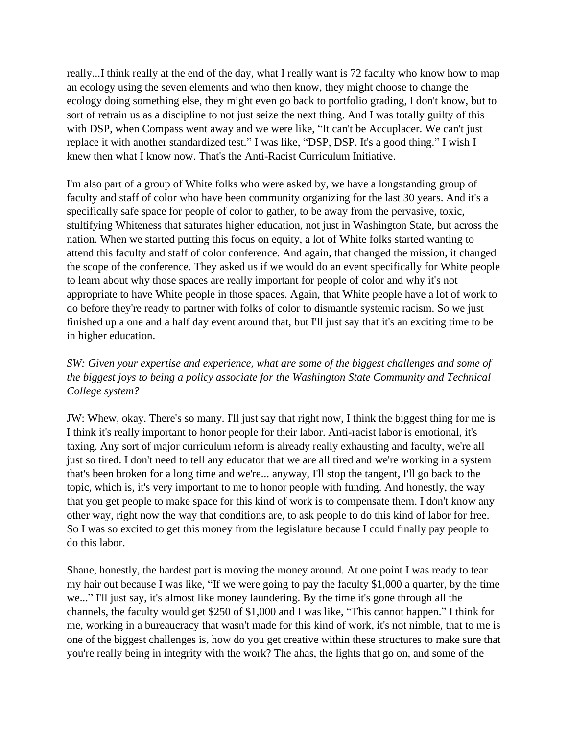really...I think really at the end of the day, what I really want is 72 faculty who know how to map an ecology using the seven elements and who then know, they might choose to change the ecology doing something else, they might even go back to portfolio grading, I don't know, but to sort of retrain us as a discipline to not just seize the next thing. And I was totally guilty of this with DSP, when Compass went away and we were like, "It can't be Accuplacer. We can't just replace it with another standardized test." I was like, "DSP, DSP. It's a good thing." I wish I knew then what I know now. That's the Anti-Racist Curriculum Initiative.

I'm also part of a group of White folks who were asked by, we have a longstanding group of faculty and staff of color who have been community organizing for the last 30 years. And it's a specifically safe space for people of color to gather, to be away from the pervasive, toxic, stultifying Whiteness that saturates higher education, not just in Washington State, but across the nation. When we started putting this focus on equity, a lot of White folks started wanting to attend this faculty and staff of color conference. And again, that changed the mission, it changed the scope of the conference. They asked us if we would do an event specifically for White people to learn about why those spaces are really important for people of color and why it's not appropriate to have White people in those spaces. Again, that White people have a lot of work to do before they're ready to partner with folks of color to dismantle systemic racism. So we just finished up a one and a half day event around that, but I'll just say that it's an exciting time to be in higher education.

## *SW: Given your expertise and experience, what are some of the biggest challenges and some of the biggest joys to being a policy associate for the Washington State Community and Technical College system?*

JW: Whew, okay. There's so many. I'll just say that right now, I think the biggest thing for me is I think it's really important to honor people for their labor. Anti-racist labor is emotional, it's taxing. Any sort of major curriculum reform is already really exhausting and faculty, we're all just so tired. I don't need to tell any educator that we are all tired and we're working in a system that's been broken for a long time and we're... anyway, I'll stop the tangent, I'll go back to the topic, which is, it's very important to me to honor people with funding. And honestly, the way that you get people to make space for this kind of work is to compensate them. I don't know any other way, right now the way that conditions are, to ask people to do this kind of labor for free. So I was so excited to get this money from the legislature because I could finally pay people to do this labor.

Shane, honestly, the hardest part is moving the money around. At one point I was ready to tear my hair out because I was like, "If we were going to pay the faculty \$1,000 a quarter, by the time we..." I'll just say, it's almost like money laundering. By the time it's gone through all the channels, the faculty would get \$250 of \$1,000 and I was like, "This cannot happen." I think for me, working in a bureaucracy that wasn't made for this kind of work, it's not nimble, that to me is one of the biggest challenges is, how do you get creative within these structures to make sure that you're really being in integrity with the work? The ahas, the lights that go on, and some of the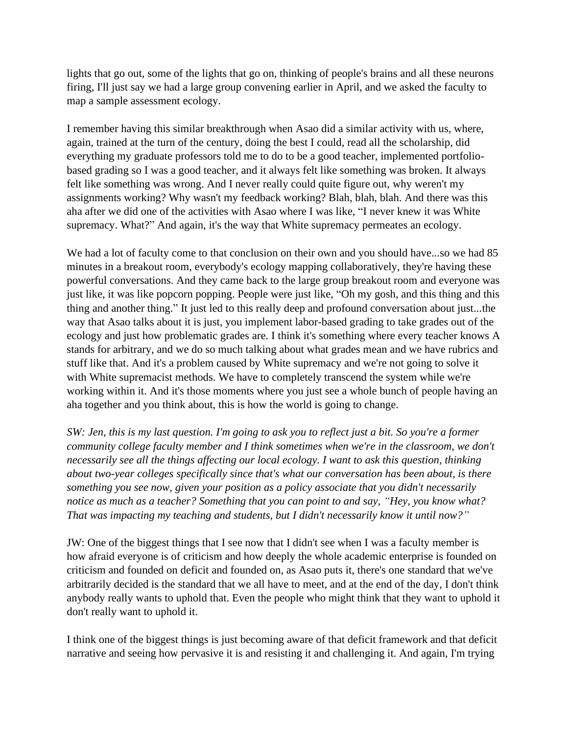lights that go out, some of the lights that go on, thinking of people's brains and all these neurons firing, I'll just say we had a large group convening earlier in April, and we asked the faculty to map a sample assessment ecology.

I remember having this similar breakthrough when Asao did a similar activity with us, where, again, trained at the turn of the century, doing the best I could, read all the scholarship, did everything my graduate professors told me to do to be a good teacher, implemented portfoliobased grading so I was a good teacher, and it always felt like something was broken. It always felt like something was wrong. And I never really could quite figure out, why weren't my assignments working? Why wasn't my feedback working? Blah, blah, blah. And there was this aha after we did one of the activities with Asao where I was like, "I never knew it was White supremacy. What?" And again, it's the way that White supremacy permeates an ecology.

We had a lot of faculty come to that conclusion on their own and you should have...so we had 85 minutes in a breakout room, everybody's ecology mapping collaboratively, they're having these powerful conversations. And they came back to the large group breakout room and everyone was just like, it was like popcorn popping. People were just like, "Oh my gosh, and this thing and this thing and another thing." It just led to this really deep and profound conversation about just...the way that Asao talks about it is just, you implement labor-based grading to take grades out of the ecology and just how problematic grades are. I think it's something where every teacher knows A stands for arbitrary, and we do so much talking about what grades mean and we have rubrics and stuff like that. And it's a problem caused by White supremacy and we're not going to solve it with White supremacist methods. We have to completely transcend the system while we're working within it. And it's those moments where you just see a whole bunch of people having an aha together and you think about, this is how the world is going to change.

*SW: Jen, this is my last question. I'm going to ask you to reflect just a bit. So you're a former community college faculty member and I think sometimes when we're in the classroom, we don't necessarily see all the things affecting our local ecology. I want to ask this question, thinking about two-year colleges specifically since that's what our conversation has been about, is there something you see now, given your position as a policy associate that you didn't necessarily notice as much as a teacher? Something that you can point to and say, "Hey, you know what? That was impacting my teaching and students, but I didn't necessarily know it until now?"*

JW: One of the biggest things that I see now that I didn't see when I was a faculty member is how afraid everyone is of criticism and how deeply the whole academic enterprise is founded on criticism and founded on deficit and founded on, as Asao puts it, there's one standard that we've arbitrarily decided is the standard that we all have to meet, and at the end of the day, I don't think anybody really wants to uphold that. Even the people who might think that they want to uphold it don't really want to uphold it.

I think one of the biggest things is just becoming aware of that deficit framework and that deficit narrative and seeing how pervasive it is and resisting it and challenging it. And again, I'm trying